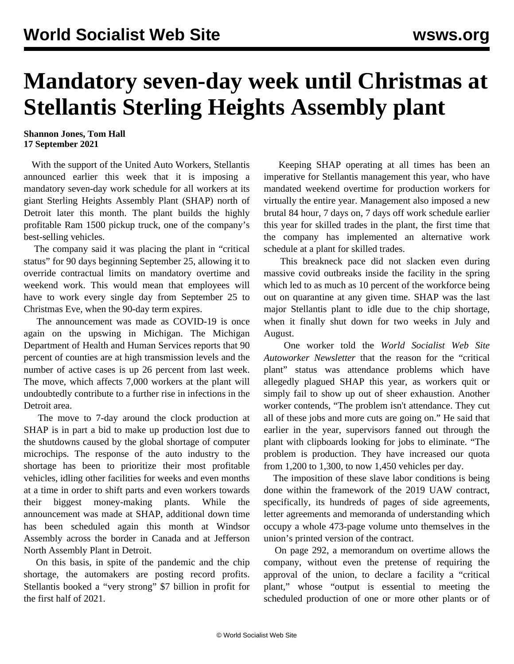## **Mandatory seven-day week until Christmas at Stellantis Sterling Heights Assembly plant**

## **Shannon Jones, Tom Hall 17 September 2021**

 With the support of the United Auto Workers, Stellantis announced earlier this week that it is imposing a mandatory seven-day work schedule for all workers at its giant Sterling Heights Assembly Plant (SHAP) north of Detroit later this month. The plant builds the highly profitable Ram 1500 pickup truck, one of the company's best-selling vehicles.

 The company said it was placing the plant in "critical status" for 90 days beginning September 25, allowing it to override contractual limits on mandatory overtime and weekend work. This would mean that employees will have to work every single day from September 25 to Christmas Eve, when the 90-day term expires.

 The announcement was made as COVID-19 is once again on the upswing in Michigan. The Michigan Department of Health and Human Services reports that 90 percent of counties are at high transmission levels and the number of active cases is up 26 percent from last week. The move, which affects 7,000 workers at the plant will undoubtedly contribute to a further rise in infections in the Detroit area.

 The move to 7-day around the clock production at SHAP is in part a bid to make up production lost due to the shutdowns caused by the global shortage of computer microchips. The response of the auto industry to the shortage has been to prioritize their most profitable vehicles, idling other facilities for weeks and even months at a time in order to shift parts and even workers towards their biggest money-making plants. While the announcement was made at SHAP, additional down time has been scheduled again this month at Windsor Assembly across the border in Canada and at Jefferson North Assembly Plant in Detroit.

 On this basis, in spite of the pandemic and the chip shortage, the automakers are posting record profits. Stellantis booked a "very strong" \$7 billion in profit for the first half of 2021.

 Keeping SHAP operating at all times has been an imperative for Stellantis management this year, who have mandated weekend overtime for production workers for virtually the entire year. Management also imposed a new brutal 84 hour, 7 days on, 7 days off work schedule earlier this year for skilled trades in the plant, the first time that the company has implemented an alternative work schedule at a plant for skilled trades.

 This breakneck pace did not slacken even during massive covid outbreaks inside the facility in the spring which led to as much as 10 percent of the workforce being out on quarantine at any given time. SHAP was the last major Stellantis plant to idle due to the chip shortage, when it finally shut down for two weeks in July and August.

 One worker told the *World Socialist Web Site Autoworker Newsletter* that the reason for the "critical plant" status was attendance problems which have allegedly plagued SHAP this year, as workers quit or simply fail to show up out of sheer exhaustion. Another worker contends, "The problem isn't attendance. They cut all of these jobs and more cuts are going on." He said that earlier in the year, supervisors fanned out through the plant with clipboards looking for jobs to eliminate. "The problem is production. They have increased our quota from 1,200 to 1,300, to now 1,450 vehicles per day.

 The imposition of these slave labor conditions is being done within the framework of the 2019 UAW contract, specifically, its hundreds of pages of side agreements, letter agreements and memoranda of understanding which occupy a whole 473-page volume unto themselves in the union's printed version of the contract.

 On page 292, a memorandum on overtime allows the company, without even the pretense of requiring the approval of the union, to declare a facility a "critical plant," whose "output is essential to meeting the scheduled production of one or more other plants or of